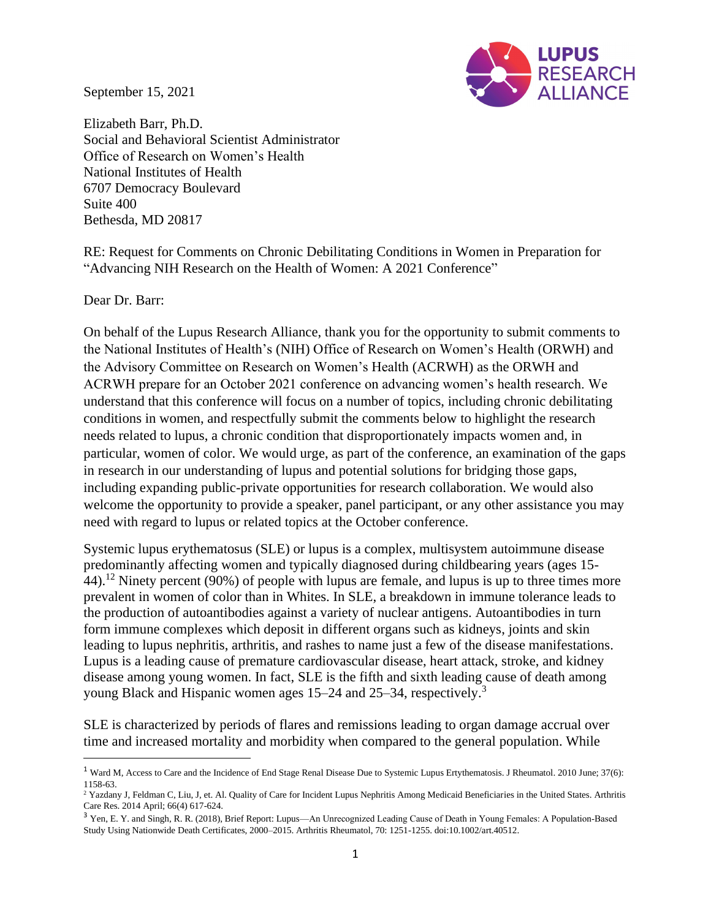September 15, 2021



Elizabeth Barr, Ph.D. Social and Behavioral Scientist Administrator Office of Research on Women's Health National Institutes of Health 6707 Democracy Boulevard Suite 400 Bethesda, MD 20817

RE: Request for Comments on Chronic Debilitating Conditions in Women in Preparation for ["Advancing NIH Research on the Health of Women: A 2021 Conference"](https://orwh.od.nih.gov/about/newsroom/events/55th-meeting-advisory-committee-research-womens-healthconsensus-conference)

Dear Dr. Barr:

On behalf of the Lupus Research Alliance, thank you for the opportunity to submit comments to the National Institutes of Health's (NIH) Office of Research on Women's Health (ORWH) and the Advisory Committee on Research on Women's Health (ACRWH) as the ORWH and ACRWH prepare for an October 2021 conference on advancing women's health research. We understand that this conference will focus on a number of topics, including chronic debilitating conditions in women, and respectfully submit the comments below to highlight the research needs related to lupus, a chronic condition that disproportionately impacts women and, in particular, women of color. We would urge, as part of the conference, an examination of the gaps in research in our understanding of lupus and potential solutions for bridging those gaps, including expanding public-private opportunities for research collaboration. We would also welcome the opportunity to provide a speaker, panel participant, or any other assistance you may need with regard to lupus or related topics at the October conference.

Systemic lupus erythematosus (SLE) or lupus is a complex, multisystem autoimmune disease predominantly affecting women and typically diagnosed during childbearing years (ages 15- 44).<sup>12</sup> Ninety percent (90%) of people with lupus are female, and lupus is up to three times more prevalent in women of color than in Whites. In SLE, a breakdown in immune tolerance leads to the production of autoantibodies against a variety of nuclear antigens. Autoantibodies in turn form immune complexes which deposit in different organs such as kidneys, joints and skin leading to lupus nephritis, arthritis, and rashes to name just a few of the disease manifestations. Lupus is a leading cause of premature cardiovascular disease, heart attack, stroke, and kidney disease among young women. In fact, SLE is the fifth and sixth leading cause of death among young Black and Hispanic women ages 15–24 and 25–34, respectively.<sup>3</sup>

SLE is characterized by periods of flares and remissions leading to organ damage accrual over time and increased mortality and morbidity when compared to the general population. While

<sup>&</sup>lt;sup>1</sup> Ward M, Access to Care and the Incidence of End Stage Renal Disease Due to Systemic Lupus Ertythematosis. J Rheumatol. 2010 June; 37(6): 1158-63.

<sup>&</sup>lt;sup>2</sup> Yazdany J, Feldman C, Liu, J, et. Al. Quality of Care for Incident Lupus Nephritis Among Medicaid Beneficiaries in the United States. Arthritis Care Res. 2014 April; 66(4) 617-624.

<sup>3</sup> Yen, E. Y. and Singh, R. R. (2018), Brief Report: Lupus—An Unrecognized Leading Cause of Death in Young Females: A Population‐Based Study Using Nationwide Death Certificates, 2000–2015. Arthritis Rheumatol, 70: 1251-1255. doi:10.1002/art.40512.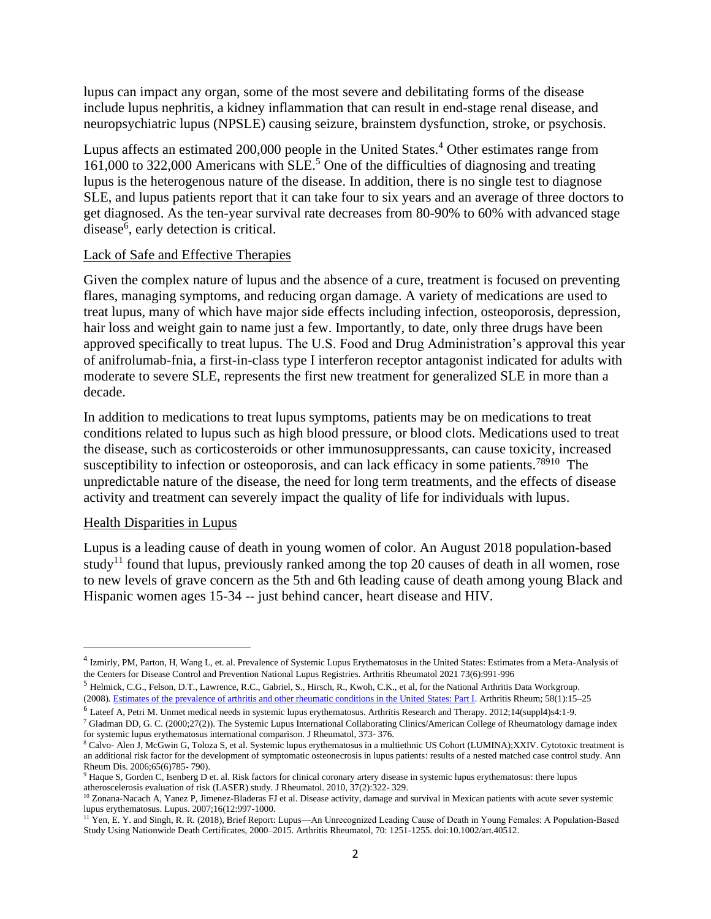lupus can impact any organ, some of the most severe and debilitating forms of the disease include lupus nephritis, a kidney inflammation that can result in end-stage renal disease, and neuropsychiatric lupus (NPSLE) causing seizure, brainstem dysfunction, stroke, or psychosis.

Lupus affects an estimated 200,000 people in the United States. <sup>4</sup> Other estimates range from 161,000 to 322,000 Americans with SLE.<sup>5</sup> One of the difficulties of diagnosing and treating lupus is the heterogenous nature of the disease. In addition, there is no single test to diagnose SLE, and lupus patients report that it can take four to six years and an average of three doctors to get diagnosed. As the ten-year survival rate decreases from 80-90% to 60% with advanced stage disease<sup>6</sup>, early detection is critical.

## Lack of Safe and Effective Therapies

Given the complex nature of lupus and the absence of a cure, treatment is focused on preventing flares, managing symptoms, and reducing organ damage. A variety of medications are used to treat lupus, many of which have major side effects including infection, osteoporosis, depression, hair loss and weight gain to name just a few. Importantly, to date, only three drugs have been approved specifically to treat lupus. The U.S. Food and Drug Administration's approval this year of anifrolumab-fnia, a first-in-class type I interferon receptor antagonist indicated for adults with moderate to severe SLE, represents the first new treatment for generalized SLE in more than a decade.

In addition to medications to treat lupus symptoms, patients may be on medications to treat conditions related to lupus such as high blood pressure, or blood clots. Medications used to treat the disease, such as corticosteroids or other immunosuppressants, can cause toxicity, increased susceptibility to infection or osteoporosis, and can lack efficacy in some patients.<sup>78910</sup> The unpredictable nature of the disease, the need for long term treatments, and the effects of disease activity and treatment can severely impact the quality of life for individuals with lupus.

## Health Disparities in Lupus

Lupus is a leading cause of death in young women of color. An August 2018 population-based study<sup>11</sup> found that lupus, previously ranked among the top 20 causes of death in all women, rose to new levels of grave concern as the 5th and 6th leading cause of death among young Black and Hispanic women ages 15-34 -- just behind cancer, heart disease and HIV.

<sup>4</sup> Izmirly, PM, Parton, H, Wang L, et. al. Prevalence of Systemic Lupus Erythematosus in the United States: Estimates from a Meta-Analysis of the Centers for Disease Control and Prevention National Lupus Registries. Arthritis Rheumatol 2021 73(6):991-996

<sup>&</sup>lt;sup>5</sup> Helmick, C.G., Felson, D.T., Lawrence, R.C., Gabriel, S., Hirsch, R., Kwoh, C.K., et al, for the National Arthritis Data Workgroup. (2008). [Estimates of the prevalence of arthritis and other rheumatic conditions in the United States: Part I.](https://www.ncbi.nlm.nih.gov/pubmed/18163481) Arthritis Rheum; 58(1):15–25

<sup>6</sup> Lateef A, Petri M. Unmet medical needs in systemic lupus erythematosus. Arthritis Research and Therapy. 2012;14(suppl4)s4:1-9.

<sup>7</sup> Gladman DD, G. C. (2000;27(2)). The Systemic Lupus International Collaborating Clinics/American College of Rheumatology damage index for systemic lupus erythematosus international comparison. J Rheumatol, 373- 376.

<sup>8</sup> Calvo- Alen J, McGwin G, Toloza S, et al. Systemic lupus erythematosus in a multiethnic US Cohort (LUMINA);XXIV. Cytotoxic treatment is an additional risk factor for the development of symptomatic osteonecrosis in lupus patients: results of a nested matched case control study. Ann Rheum Dis. 2006;65(6)785- 790).

<sup>9</sup> Haque S, Gorden C, Isenberg D et. al. Risk factors for clinical coronary artery disease in systemic lupus erythematosus: there lupus atheroscelerosis evaluation of risk (LASER) study. J Rheumatol. 2010, 37(2):322- 329.

<sup>&</sup>lt;sup>10</sup> Zonana-Nacach A, Yanez P, Jimenez-Bladeras FJ et al. Disease activity, damage and survival in Mexican patients with acute sever systemic lupus erythematosus. Lupus. 2007;16(12:997-1000.

<sup>11</sup> Yen, E. Y. and Singh, R. R. (2018), Brief Report: Lupus—An Unrecognized Leading Cause of Death in Young Females: A Population‐Based Study Using Nationwide Death Certificates, 2000–2015. Arthritis Rheumatol, 70: 1251-1255. doi:10.1002/art.40512.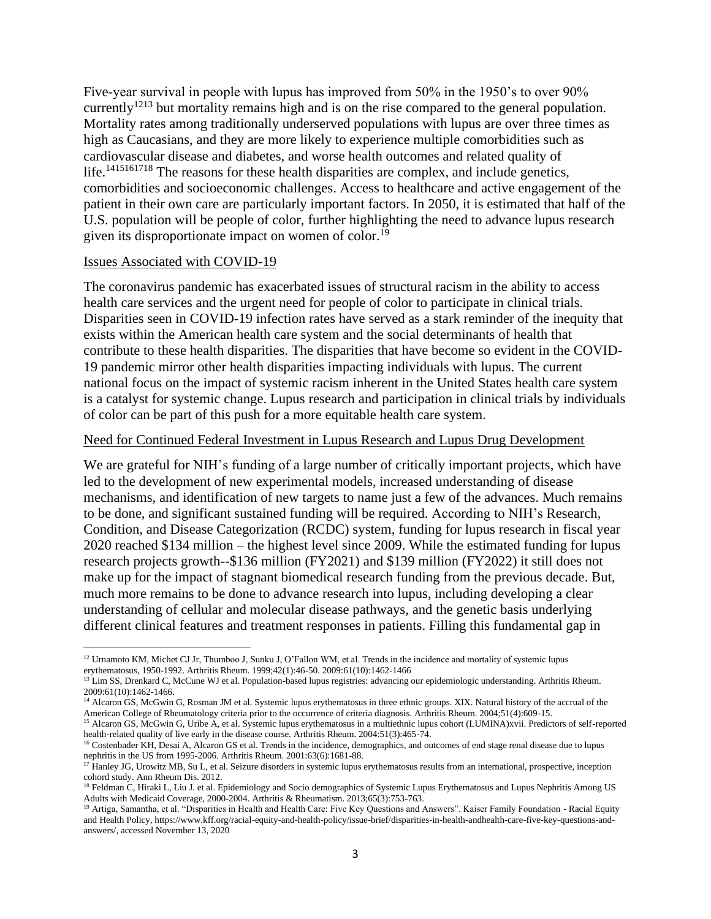Five-year survival in people with lupus has improved from 50% in the 1950's to over 90% currently<sup>1213</sup> but mortality remains high and is on the rise compared to the general population. Mortality rates among traditionally underserved populations with lupus are over three times as high as Caucasians, and they are more likely to experience multiple comorbidities such as cardiovascular disease and diabetes, and worse health outcomes and related quality of life.<sup>1415161718</sup> The reasons for these health disparities are complex, and include genetics, comorbidities and socioeconomic challenges. Access to healthcare and active engagement of the patient in their own care are particularly important factors. In 2050, it is estimated that half of the U.S. population will be people of color, further highlighting the need to advance lupus research given its disproportionate impact on women of color.<sup>19</sup>

## Issues Associated with COVID-19

The coronavirus pandemic has exacerbated issues of structural racism in the ability to access health care services and the urgent need for people of color to participate in clinical trials. Disparities seen in COVID-19 infection rates have served as a stark reminder of the inequity that exists within the American health care system and the social determinants of health that contribute to these health disparities. The disparities that have become so evident in the COVID-19 pandemic mirror other health disparities impacting individuals with lupus. The current national focus on the impact of systemic racism inherent in the United States health care system is a catalyst for systemic change. Lupus research and participation in clinical trials by individuals of color can be part of this push for a more equitable health care system.

## Need for Continued Federal Investment in Lupus Research and Lupus Drug Development

We are grateful for NIH's funding of a large number of critically important projects, which have led to the development of new experimental models, increased understanding of disease mechanisms, and identification of new targets to name just a few of the advances. Much remains to be done, and significant sustained funding will be required. According to NIH's Research, Condition, and Disease Categorization (RCDC) system, funding for lupus research in fiscal year 2020 reached \$134 million – the highest level since 2009. While the estimated funding for lupus research projects growth--\$136 million (FY2021) and \$139 million (FY2022) it still does not make up for the impact of stagnant biomedical research funding from the previous decade. But, much more remains to be done to advance research into lupus, including developing a clear understanding of cellular and molecular disease pathways, and the genetic basis underlying different clinical features and treatment responses in patients. Filling this fundamental gap in

<sup>&</sup>lt;sup>12</sup> Urnamoto KM, Michet CJ Jr, Thumboo J, Sunku J, O'Fallon WM, et al. Trends in the incidence and mortality of systemic lupus erythematosus, 1950-1992. Arthritis Rheum. 1999;42(1):46-50. 2009:61(10):1462-1466

<sup>&</sup>lt;sup>13</sup> Lim SS, Drenkard C, McCune WJ et al. Population-based lupus registries: advancing our epidemiologic understanding. Arthritis Rheum. 2009:61(10):1462-1466.

<sup>&</sup>lt;sup>14</sup> Alcaron GS, McGwin G, Rosman JM et al. Systemic lupus erythematosus in three ethnic groups. XIX. Natural history of the accrual of the American College of Rheumatology criteria prior to the occurrence of criteria diagnosis. Arthritis Rheum. 2004;51(4):609-15.

<sup>&</sup>lt;sup>15</sup> Alcaron GS, McGwin G, Uribe A, et al. Systemic lupus erythematosus in a multiethnic lupus cohort (LUMINA)xvii. Predictors of self-reported health-related quality of live early in the disease course. Arthritis Rheum. 2004:51(3):465-74.

<sup>&</sup>lt;sup>16</sup> Costenbader KH, Desai A, Alcaron GS et al. Trends in the incidence, demographics, and outcomes of end stage renal disease due to lupus nephritis in the US from 1995-2006. Arthritis Rheum. 2001:63(6):1681-88.

<sup>&</sup>lt;sup>17</sup> Hanley JG, Urowitz MB, Su L, et al. Seizure disorders in systemic lupus erythematosus results from an international, prospective, inception cohord study. Ann Rheum Dis. 2012.

<sup>&</sup>lt;sup>18</sup> Feldman C, Hiraki L, Liu J. et al. Epidemiology and Socio demographics of Systemic Lupus Erythematosus and Lupus Nephritis Among US Adults with Medicaid Coverage, 2000-2004. Arthritis & Rheumatism. 2013;65(3):753-763.

<sup>&</sup>lt;sup>19</sup> Artiga, Samantha, et al. "Disparities in Health and Health Care: Five Key Questions and Answers". Kaiser Family Foundation - Racial Equity and Health Policy, https://www.kff.org/racial-equity-and-health-policy/issue-brief/disparities-in-health-andhealth-care-five-key-questions-andanswers/, accessed November 13, 2020